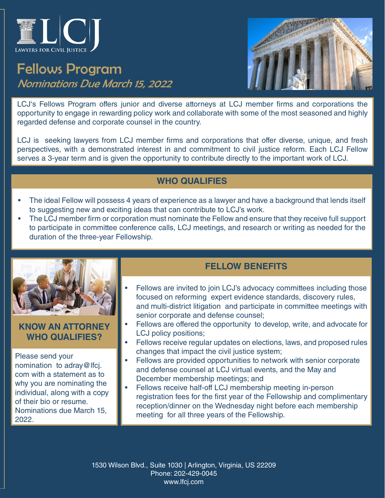

## Fellows Program Nominations Due March 15, 2022



LCJ's Fellows Program offers junior and diverse attorneys at LCJ member firms and corporations the opportunity to engage in rewarding policy work and collaborate with some of the most seasoned and highly regarded defense and corporate counsel in the country.

LCJ is seeking lawyers from LCJ member firms and corporations that offer diverse, unique, and fresh perspectives, with a demonstrated interest in and commitment to civil justice reform. Each LCJ Fellow serves a 3-year term and is given the opportunity to contribute directly to the important work of LCJ.

#### **WHO QUALIFIES**

- The ideal Fellow will possess 4 years of experience as a lawyer and have a background that lends itself to suggesting new and exciting ideas that can contribute to LCJ's work.
- The LCJ member firm or corporation must nominate the Fellow and ensure that they receive full support to participate in committee conference calls, LCJ meetings, and research or writing as needed for the duration of the three-year Fellowship.



**KNOW AN ATTORNEY WHO QUALIFIES?**

Please send your nomination to adray@lfcj. com with a statement as to why you are nominating the individual, along with a copy of their bio or resume. Nominations due March 15, 2022.

### **FELLOW BENEFITS**

- Fellows are invited to join LCJ's advocacy committees including those focused on reforming expert evidence standards, discovery rules, and multi-district litigation and participate in committee meetings with senior corporate and defense counsel;
- Fellows are offered the opportunity to develop, write, and advocate for LCJ policy positions;
- Fellows receive regular updates on elections, laws, and proposed rules changes that impact the civil justice system;
- Fellows are provided opportunities to network with senior corporate and defense counsel at LCJ virtual events, and the May and December membership meetings; and
- Fellows receive half-off LCJ membership meeting in-person registration fees for the first year of the Fellowship and complimentary reception/dinner on the Wednesday night before each membership meeting for all three years of the Fellowship.